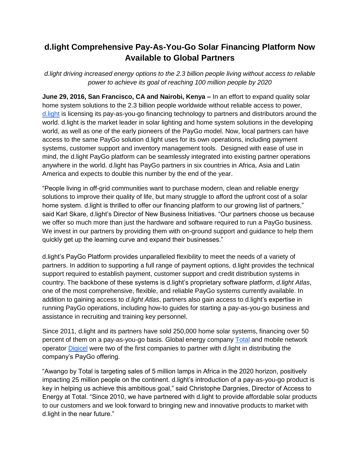## **d.light Comprehensive Pay-As-You-Go Solar Financing Platform Now Available to Global Partners**

*d.light driving increased energy options to the 2.3 billion people living without access to reliable power to achieve its goal of reaching 100 million people by 2020*

**June 29, 2016, San Francisco, CA and Nairobi, Kenya –** In an effort to expand quality solar home system solutions to the 2.3 billion people worldwide without reliable access to power, [d.light](http://www.dlight.com/) is licensing its pay-as-you-go financing technology to partners and distributors around the world. d.light is the market leader in solar lighting and home system solutions in the developing world, as well as one of the early pioneers of the PayGo model. Now, local partners can have access to the same PayGo solution d.light uses for its own operations, including payment systems, customer support and inventory management tools. Designed with ease of use in mind, the d.light PayGo platform can be seamlessly integrated into existing partner operations anywhere in the world. d.light has PayGo partners in six countries in Africa, Asia and Latin America and expects to double this number by the end of the year.

"People living in off-grid communities want to purchase modern, clean and reliable energy solutions to improve their quality of life, but many struggle to afford the upfront cost of a solar home system. d.light is thrilled to offer our financing platform to our growing list of partners," said Karl Skare, d.light's Director of New Business Initiatives. "Our partners choose us because we offer so much more than just the hardware and software required to run a PayGo business. We invest in our partners by providing them with on-ground support and guidance to help them quickly get up the learning curve and expand their businesses."

d.light's PayGo Platform provides unparalleled flexibility to meet the needs of a variety of partners. In addition to supporting a full range of payment options, d.light provides the technical support required to establish payment, customer support and credit distribution systems in country. The backbone of these systems is d.light's proprietary software platform, *d.light Atlas*, one of the most comprehensive, flexible, and reliable PayGo systems currently available. In addition to gaining access to *d.light Atlas*, partners also gain access to d.light's expertise in running PayGo operations, including how-to guides for starting a pay-as-you-go business and assistance in recruiting and training key personnel.

Since 2011, d.light and its partners have sold 250,000 home solar systems, financing over 50 percent of them on a pay-as-you-go basis. Global energy company [Total](http://www.total.com/en) and mobile network operato[r](http://gogreen.digicelgroup.com/en) [Digicel](http://gogreen.digicelgroup.com/en) were two of the first companies to partner with d.light in distributing the company's PayGo offering.

"Awango by Total is targeting sales of 5 million lamps in Africa in the 2020 horizon, positively impacting 25 million people on the continent. d.light's introduction of a pay-as-you-go product is key in helping us achieve this ambitious goal," said Christophe Dargnies, Director of Access to Energy at Total. "Since 2010, we have partnered with d.light to provide affordable solar products to our customers and we look forward to bringing new and innovative products to market with d.light in the near future."